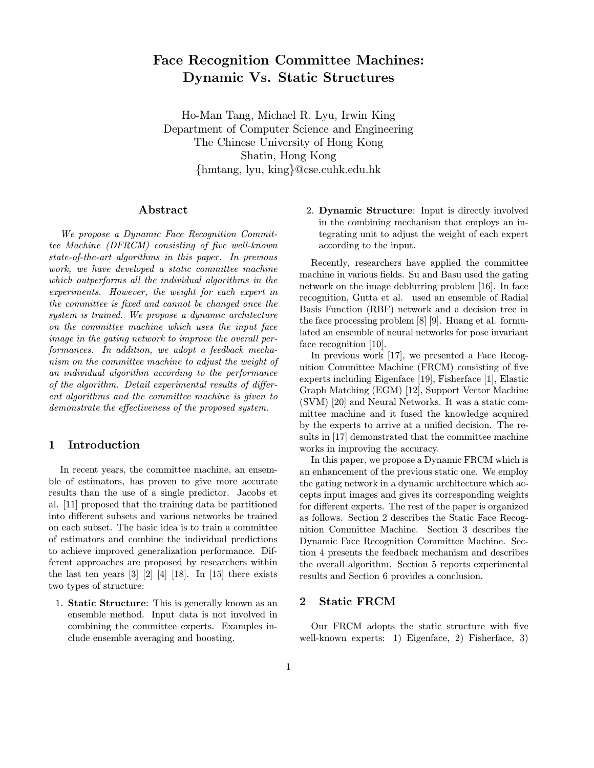# Face Recognition Committee Machines: Dynamic Vs. Static Structures

Ho-Man Tang, Michael R. Lyu, Irwin King Department of Computer Science and Engineering The Chinese University of Hong Kong Shatin, Hong Kong {hmtang, lyu, king}@cse.cuhk.edu.hk

# Abstract

We propose a Dynamic Face Recognition Committee Machine (DFRCM) consisting of five well-known state-of-the-art algorithms in this paper. In previous work, we have developed a static committee machine which outperforms all the individual algorithms in the experiments. However, the weight for each expert in the committee is fixed and cannot be changed once the system is trained. We propose a dynamic architecture on the committee machine which uses the input face image in the gating network to improve the overall performances. In addition, we adopt a feedback mechanism on the committee machine to adjust the weight of an individual algorithm according to the performance of the algorithm. Detail experimental results of different algorithms and the committee machine is given to demonstrate the effectiveness of the proposed system.

# 1 Introduction

In recent years, the committee machine, an ensemble of estimators, has proven to give more accurate results than the use of a single predictor. Jacobs et al. [11] proposed that the training data be partitioned into different subsets and various networks be trained on each subset. The basic idea is to train a committee of estimators and combine the individual predictions to achieve improved generalization performance. Different approaches are proposed by researchers within the last ten years  $\begin{bmatrix} 3 \end{bmatrix}$   $\begin{bmatrix} 2 \end{bmatrix}$   $\begin{bmatrix} 4 \end{bmatrix}$   $\begin{bmatrix} 18 \end{bmatrix}$ . In  $\begin{bmatrix} 15 \end{bmatrix}$  there exists two types of structure:

1. Static Structure: This is generally known as an ensemble method. Input data is not involved in combining the committee experts. Examples include ensemble averaging and boosting.

2. Dynamic Structure: Input is directly involved in the combining mechanism that employs an integrating unit to adjust the weight of each expert according to the input.

Recently, researchers have applied the committee machine in various fields. Su and Basu used the gating network on the image deblurring problem [16]. In face recognition, Gutta et al. used an ensemble of Radial Basis Function (RBF) network and a decision tree in the face processing problem [8] [9]. Huang et al. formulated an ensemble of neural networks for pose invariant face recognition [10].

In previous work [17], we presented a Face Recognition Committee Machine (FRCM) consisting of five experts including Eigenface [19], Fisherface [1], Elastic Graph Matching (EGM) [12], Support Vector Machine (SVM) [20] and Neural Networks. It was a static committee machine and it fused the knowledge acquired by the experts to arrive at a unified decision. The results in [17] demonstrated that the committee machine works in improving the accuracy.

In this paper, we propose a Dynamic FRCM which is an enhancement of the previous static one. We employ the gating network in a dynamic architecture which accepts input images and gives its corresponding weights for different experts. The rest of the paper is organized as follows. Section 2 describes the Static Face Recognition Committee Machine. Section 3 describes the Dynamic Face Recognition Committee Machine. Section 4 presents the feedback mechanism and describes the overall algorithm. Section 5 reports experimental results and Section 6 provides a conclusion.

# 2 Static FRCM

Our FRCM adopts the static structure with five well-known experts: 1) Eigenface, 2) Fisherface, 3)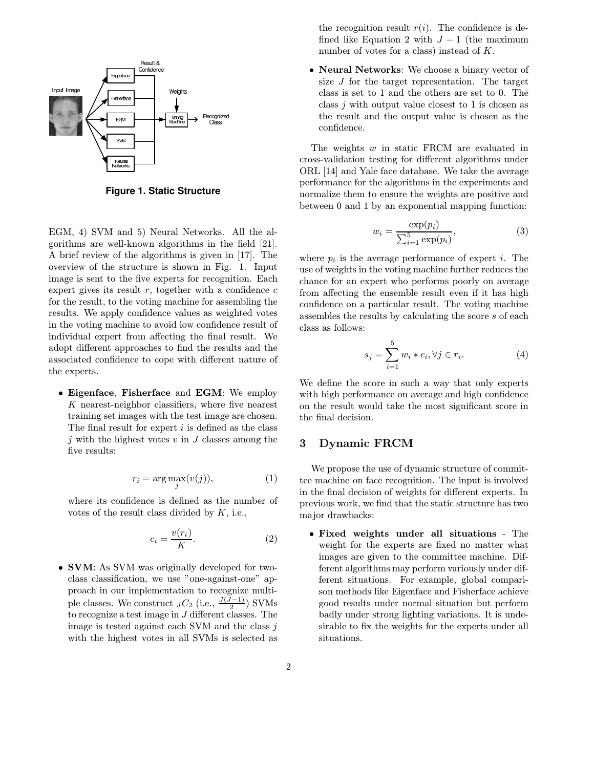

**Figure 1. Static Structure**

EGM, 4) SVM and 5) Neural Networks. All the algorithms are well-known algorithms in the field [21]. A brief review of the algorithms is given in [17]. The overview of the structure is shown in Fig. 1. Input image is sent to the five experts for recognition. Each expert gives its result  $r$ , together with a confidence  $c$ for the result, to the voting machine for assembling the results. We apply confidence values as weighted votes in the voting machine to avoid low confidence result of individual expert from affecting the final result. We adopt different approaches to find the results and the associated confidence to cope with different nature of the experts.

• Eigenface, Fisherface and EGM: We employ K nearest-neighbor classifiers, where five nearest training set images with the test image are chosen. The final result for expert  $i$  is defined as the class j with the highest votes  $v$  in  $J$  classes among the five results:

$$
r_i = \arg\max_j(v(j)),\tag{1}
$$

where its confidence is defined as the number of votes of the result class divided by  $K$ , i.e.,

$$
c_i = \frac{v(r_i)}{K}.\tag{2}
$$

• **SVM**: As SVM was originally developed for twoclass classification, we use "one-against-one" approach in our implementation to recognize multiple classes. We construct  $JC_2$  (i.e.,  $\frac{J(J-1)}{2}$ ) SVMs to recognize a test image in J different classes. The image is tested against each SVM and the class  $i$ with the highest votes in all SVMs is selected as the recognition result  $r(i)$ . The confidence is defined like Equation 2 with  $J-1$  (the maximum number of votes for a class) instead of K.

• Neural Networks: We choose a binary vector of size J for the target representation. The target class is set to 1 and the others are set to 0. The class j with output value closest to 1 is chosen as the result and the output value is chosen as the confidence.

The weights w in static FRCM are evaluated in cross-validation testing for different algorithms under ORL [14] and Yale face database. We take the average performance for the algorithms in the experiments and normalize them to ensure the weights are positive and between 0 and 1 by an exponential mapping function:

$$
w_i = \frac{\exp(p_i)}{\sum_{i=1}^5 \exp(p_i)},\tag{3}
$$

where  $p_i$  is the average performance of expert *i*. The use of weights in the voting machine further reduces the chance for an expert who performs poorly on average from affecting the ensemble result even if it has high confidence on a particular result. The voting machine assembles the results by calculating the score s of each class as follows:

$$
s_j = \sum_{i=1}^{5} w_i * c_i, \forall j \in r_i.
$$
 (4)

We define the score in such a way that only experts with high performance on average and high confidence on the result would take the most significant score in the final decision.

# 3 Dynamic FRCM

We propose the use of dynamic structure of committee machine on face recognition. The input is involved in the final decision of weights for different experts. In previous work, we find that the static structure has two major drawbacks:

• Fixed weights under all situations - The weight for the experts are fixed no matter what images are given to the committee machine. Different algorithms may perform variously under different situations. For example, global comparison methods like Eigenface and Fisherface achieve good results under normal situation but perform badly under strong lighting variations. It is undesirable to fix the weights for the experts under all situations.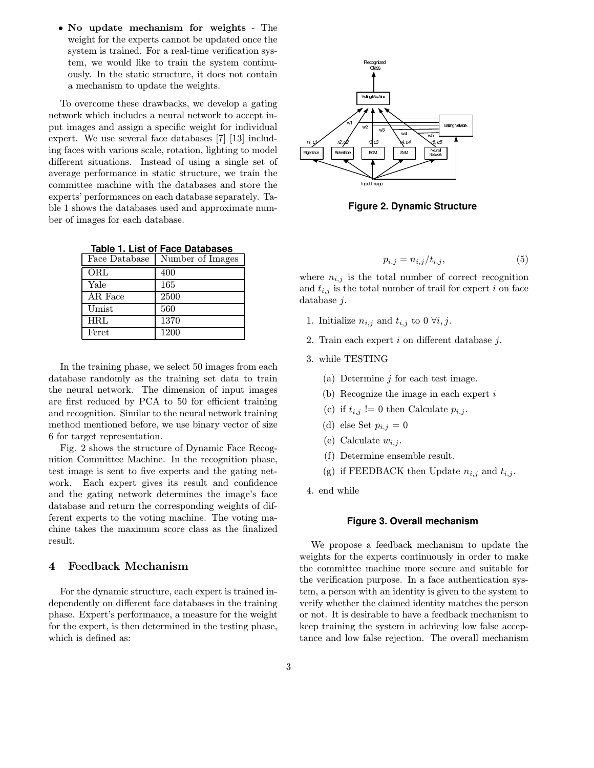• No update mechanism for weights - The weight for the experts cannot be updated once the system is trained. For a real-time verification system, we would like to train the system continuously. In the static structure, it does not contain a mechanism to update the weights.

To overcome these drawbacks, we develop a gating network which includes a neural network to accept input images and assign a specific weight for individual expert. We use several face databases [7] [13] including faces with various scale, rotation, lighting to model different situations. Instead of using a single set of average performance in static structure, we train the committee machine with the databases and store the experts' performances on each database separately. Table 1 shows the databases used and approximate number of images for each database.

| Face Database | Number of Images |
|---------------|------------------|
| $\rm ORL$     | 400              |
| Yale          | 165              |
| AR Face       | 2500             |
| Umist         | 560              |
| <b>HRL</b>    | 1370             |
| Feret         | 1200             |

|  |  |  |  | Table 1. List of Face Databases |
|--|--|--|--|---------------------------------|
|--|--|--|--|---------------------------------|

In the training phase, we select 50 images from each database randomly as the training set data to train the neural network. The dimension of input images are first reduced by PCA to 50 for efficient training and recognition. Similar to the neural network training method mentioned before, we use binary vector of size 6 for target representation.

Fig. 2 shows the structure of Dynamic Face Recognition Committee Machine. In the recognition phase, test image is sent to five experts and the gating network. Each expert gives its result and confidence and the gating network determines the image's face database and return the corresponding weights of different experts to the voting machine. The voting machine takes the maximum score class as the finalized result.

# 4 Feedback Mechanism

For the dynamic structure, each expert is trained independently on different face databases in the training phase. Expert's performance, a measure for the weight for the expert, is then determined in the testing phase, which is defined as:



**Figure 2. Dynamic Structure**

$$
p_{i,j} = n_{i,j}/t_{i,j},\tag{5}
$$

where  $n_{i,j}$  is the total number of correct recognition and  $t_{i,j}$  is the total number of trail for expert i on face database j.

- 1. Initialize  $n_{i,j}$  and  $t_{i,j}$  to 0  $\forall i, j$ .
- 2. Train each expert  $i$  on different database  $j$ .
- 3. while TESTING
	- (a) Determine  $j$  for each test image.
	- (b) Recognize the image in each expert i
	- (c) if  $t_{i,j}$  != 0 then Calculate  $p_{i,j}$ .
	- (d) else Set  $p_{i,j} = 0$
	- (e) Calculate  $w_{i,j}$ .
	- (f) Determine ensemble result.
	- (g) if FEEDBACK then Update  $n_{i,j}$  and  $t_{i,j}$ .

4. end while

#### **Figure 3. Overall mechanism**

We propose a feedback mechanism to update the weights for the experts continuously in order to make the committee machine more secure and suitable for the verification purpose. In a face authentication system, a person with an identity is given to the system to verify whether the claimed identity matches the person or not. It is desirable to have a feedback mechanism to keep training the system in achieving low false acceptance and low false rejection. The overall mechanism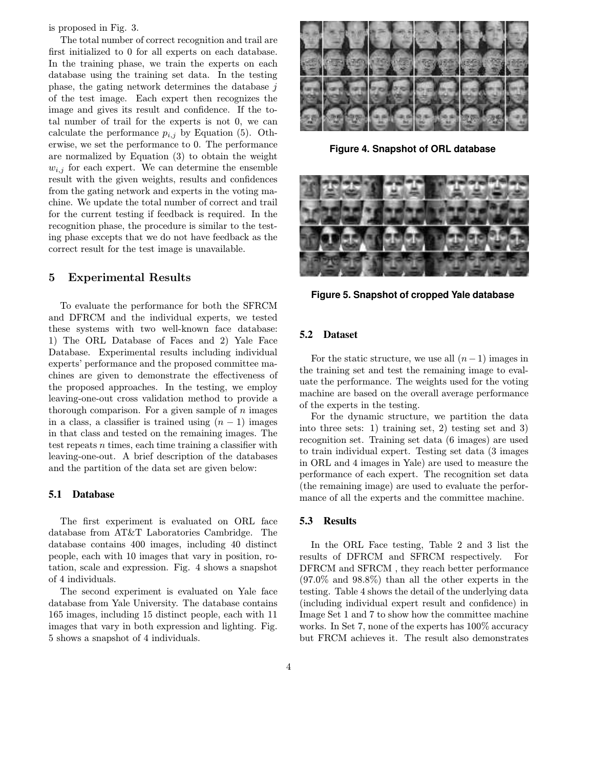is proposed in Fig. 3.

The total number of correct recognition and trail are first initialized to 0 for all experts on each database. In the training phase, we train the experts on each database using the training set data. In the testing phase, the gating network determines the database j of the test image. Each expert then recognizes the image and gives its result and confidence. If the total number of trail for the experts is not 0, we can calculate the performance  $p_{i,j}$  by Equation (5). Otherwise, we set the performance to 0. The performance are normalized by Equation (3) to obtain the weight  $w_{i,j}$  for each expert. We can determine the ensemble result with the given weights, results and confidences from the gating network and experts in the voting machine. We update the total number of correct and trail for the current testing if feedback is required. In the recognition phase, the procedure is similar to the testing phase excepts that we do not have feedback as the correct result for the test image is unavailable.

# 5 Experimental Results

To evaluate the performance for both the SFRCM and DFRCM and the individual experts, we tested these systems with two well-known face database: 1) The ORL Database of Faces and 2) Yale Face Database. Experimental results including individual experts' performance and the proposed committee machines are given to demonstrate the effectiveness of the proposed approaches. In the testing, we employ leaving-one-out cross validation method to provide a thorough comparison. For a given sample of  $n$  images in a class, a classifier is trained using  $(n-1)$  images in that class and tested on the remaining images. The test repeats n times, each time training a classifier with leaving-one-out. A brief description of the databases and the partition of the data set are given below:

## **5.1 Database**

The first experiment is evaluated on ORL face database from AT&T Laboratories Cambridge. The database contains 400 images, including 40 distinct people, each with 10 images that vary in position, rotation, scale and expression. Fig. 4 shows a snapshot of 4 individuals.

The second experiment is evaluated on Yale face database from Yale University. The database contains 165 images, including 15 distinct people, each with 11 images that vary in both expression and lighting. Fig. 5 shows a snapshot of 4 individuals.



**Figure 4. Snapshot of ORL database**



**Figure 5. Snapshot of cropped Yale database**

#### **5.2 Dataset**

For the static structure, we use all  $(n-1)$  images in the training set and test the remaining image to evaluate the performance. The weights used for the voting machine are based on the overall average performance of the experts in the testing.

For the dynamic structure, we partition the data into three sets: 1) training set, 2) testing set and 3) recognition set. Training set data (6 images) are used to train individual expert. Testing set data (3 images in ORL and 4 images in Yale) are used to measure the performance of each expert. The recognition set data (the remaining image) are used to evaluate the performance of all the experts and the committee machine.

#### **5.3 Results**

In the ORL Face testing, Table 2 and 3 list the results of DFRCM and SFRCM respectively. For DFRCM and SFRCM , they reach better performance (97.0% and 98.8%) than all the other experts in the testing. Table 4 shows the detail of the underlying data (including individual expert result and confidence) in Image Set 1 and 7 to show how the committee machine works. In Set 7, none of the experts has 100% accuracy but FRCM achieves it. The result also demonstrates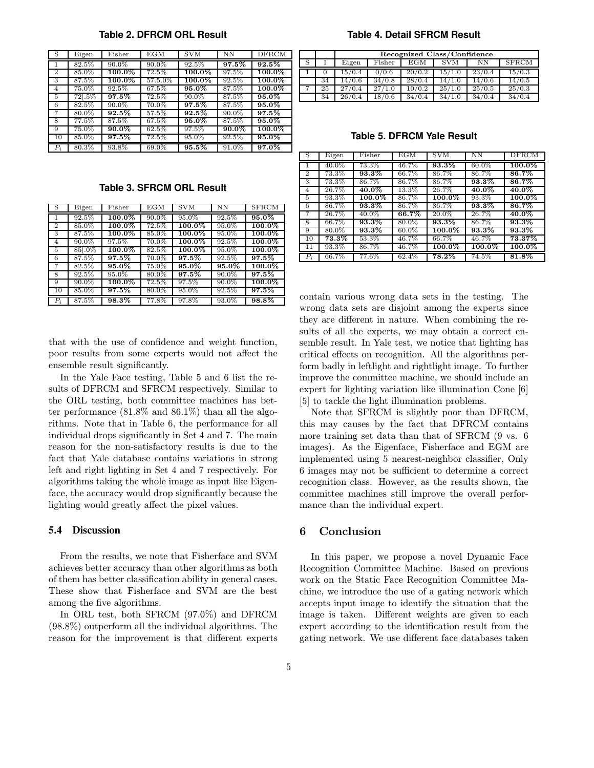| S              | Eigen    | Fisher    | EGM      | <b>SVM</b> | NΝ       | <b>DFRCM</b> |
|----------------|----------|-----------|----------|------------|----------|--------------|
|                | 82.5%    | 90.0%     | 90.0%    | 92.5%      | 97.5%    | $92.5\%$     |
| $\overline{2}$ | 85.0%    | 100.0%    | 72.5%    | 100.0%     | 97.5%    | $100.0\%$    |
| 3              | 87.5%    | $100.0\%$ | 57.5.0%  | 100.0%     | 92.5%    | 100.0%       |
| 4              | 75.0%    | 92.5%     | 67.5%    | $95.0\%$   | 87.5%    | 100.0%       |
| 5              | $72-.5%$ | $97.5\%$  | 72.5%    | $90.0\%$   | $87.5\%$ | 95.0%        |
| 6              | $82.5\%$ | 90.0%     | 70.0%    | $97.5\%$   | 87.5%    | 95.0%        |
| 7              | 80.0%    | $92.5\%$  | 57.5%    | $92.5\%$   | 90.0%    | $97.5\%$     |
| 8              | $77.5\%$ | $87.5\%$  | 67.5%    | $95.0\%$   | 87.5%    | $95.0\%$     |
| 9              | 75.0%    | $90.0\%$  | 62.5%    | 97.5%      | 90.0%    | $100.0\%$    |
| 10             | 85.0%    | $97.5\%$  | $72.5\%$ | 95.0%      | 92.5%    | 95.0%        |
| $P_i$          | 80.3%    | 93.8%     | 69.0%    | 95.5%      | 91.0%    | 97.0%        |

**Table 2. DFRCM ORL Result**

**Table 3. SFRCM ORL Result**

| - S             | Eigen    | Fisher    | EGM      | <b>SVM</b> | <b>NN</b> | <b>SFRCM</b> |
|-----------------|----------|-----------|----------|------------|-----------|--------------|
| 1               | 92.5%    | $100.0\%$ | 90.0%    | 95.0%      | 92.5%     | $95.0\%$     |
| 2               | 85.0%    | 100.0%    | 72.5%    | 100.0%     | 95.0%     | 100.0%       |
| 3               | 87.5%    | $100.0\%$ | 85.0%    | $100.0\%$  | 95.0%     | $100.0\%$    |
| $\overline{4}$  | $90.0\%$ | 97.5%     | $70.0\%$ | $100.0\%$  | 92.5%     | $100.0\%$    |
| 5               | 85 . 0%  | $100.0\%$ | 82.5%    | $100.0\%$  | 95.0%     | $100.0\%$    |
| 6               | 87.5%    | 97.5%     | 70.0%    | 97.5%      | 92.5%     | 97.5%        |
| 7               | 82.5%    | $95.0\%$  | 75.0%    | $95.0\%$   | $95.0\%$  | $100.0\%$    |
| 8               | 92.5%    | 95.0%     | $80.0\%$ | $97.5\%$   | $90.0\%$  | $97.5\%$     |
| 9               | $90.0\%$ | $100.0\%$ | $72.5\%$ | 97.5%      | $90.0\%$  | $100.0\%$    |
| $\overline{1}0$ | 85.0%    | 97.5%     | $80.0\%$ | 95.0%      | 92.5%     | $97.5\%$     |
| $P_i$           | 87.5%    | 98.3%     | 77.8%    | 97.8%      | 93.0%     | 98.8%        |

that with the use of confidence and weight function, poor results from some experts would not affect the ensemble result significantly.

In the Yale Face testing, Table 5 and 6 list the results of DFRCM and SFRCM respectively. Similar to the ORL testing, both committee machines has better performance  $(81.8\%$  and  $86.1\%)$  than all the algorithms. Note that in Table 6, the performance for all individual drops significantly in Set 4 and 7. The main reason for the non-satisfactory results is due to the fact that Yale database contains variations in strong left and right lighting in Set 4 and 7 respectively. For algorithms taking the whole image as input like Eigenface, the accuracy would drop significantly because the lighting would greatly affect the pixel values.

#### **5.4 Discussion**

From the results, we note that Fisherface and SVM achieves better accuracy than other algorithms as both of them has better classification ability in general cases. These show that Fisherface and SVM are the best among the five algorithms.

In ORL test, both SFRCM (97.0%) and DFRCM (98.8%) outperform all the individual algorithms. The reason for the improvement is that different experts

#### **Table 4. Detail SFRCM Result**

|                |    | Recognized Class/Confidence |        |        |            |        |              |  |  |
|----------------|----|-----------------------------|--------|--------|------------|--------|--------------|--|--|
| - S            |    | Eigen                       | Fisher | EGM    | <b>SVM</b> | NΝ     | <b>SFRCM</b> |  |  |
|                |    | 15/0.4                      | 0/0.6  | 20/0.2 | 15/1.0     | 23/0.4 | 15/0.3       |  |  |
|                | 34 | 14/0.6                      | 34/0.8 | 28/0.4 | 14/1.0     | 14/0.6 | 14/0.5       |  |  |
| $\overline{ }$ | 25 | 27/0.4                      | 27/1.0 | 10/0.2 | 25/1.0     | 25/0.5 | 25/0.3       |  |  |
|                | 34 | 26/0.4                      | 18/0.6 | 34/0.4 | 34/1.0     | 34/0.4 | 34/0.4       |  |  |

**Table 5. DFRCM Yale Result**

| - S            | Eigen    | Fisher    | $\overline{E}$ GM | <b>SVM</b> | <b>NN</b> | <b>DFRCM</b> |
|----------------|----------|-----------|-------------------|------------|-----------|--------------|
|                | 40.0%    | 73.3%     | 46.7%             | 93.3%      | $60.0\%$  | $100.0\%$    |
| $\overline{2}$ | 73.3%    | 93.3%     | 66.7%             | 86.7%      | 86.7%     | 86.7%        |
| 3              | $73.3\%$ | 86.7%     | 86.7%             | 86.7%      | 93.3%     | 86.7%        |
| 4              | 26.7%    | 40.0%     | $13.3\%$          | 26.7%      | $40.0\%$  | $40.0\%$     |
| 5              | 93.3%    | $100.0\%$ | 86.7%             | $100.0\%$  | 93.3%     | $100.0\%$    |
| 6              | 86.7%    | 93.3%     | 86.7%             | 86.7%      | 93.3%     | 86.7%        |
| 7              | $26.7\%$ | 40.0%     | 66.7%             | $20.0\%$   | 26.7%     | $40.0\%$     |
| 8              | 66.7%    | 93.3%     | 80.0%             | 93.3%      | 86.7%     | 93.3%        |
| 9              | 80.0%    | 93.3%     | $60.0\%$          | 100.0%     | 93.3%     | 93.3%        |
| 10             | $73.3\%$ | $53.3\%$  | 46.7%             | 66.7%      | 46.7%     | $73.37\%$    |
| 11             | 93.3%    | 86.7%     | 46.7%             | 100.0%     | $100.0\%$ | $100.0\%$    |
| $P_i$          | 66.7%    | $77.6\%$  | 62.4%             | $78.2\%$   | 74.5%     | 81.8%        |

contain various wrong data sets in the testing. The wrong data sets are disjoint among the experts since they are different in nature. When combining the results of all the experts, we may obtain a correct ensemble result. In Yale test, we notice that lighting has critical effects on recognition. All the algorithms perform badly in leftlight and rightlight image. To further improve the committee machine, we should include an expert for lighting variation like illumination Cone [6] [5] to tackle the light illumination problems.

Note that SFRCM is slightly poor than DFRCM, this may causes by the fact that DFRCM contains more training set data than that of SFRCM (9 vs. 6 images). As the Eigenface, Fisherface and EGM are implemented using 5 nearest-neighbor classifier, Only 6 images may not be sufficient to determine a correct recognition class. However, as the results shown, the committee machines still improve the overall performance than the individual expert.

#### 6 Conclusion

In this paper, we propose a novel Dynamic Face Recognition Committee Machine. Based on previous work on the Static Face Recognition Committee Machine, we introduce the use of a gating network which accepts input image to identify the situation that the image is taken. Different weights are given to each expert according to the identification result from the gating network. We use different face databases taken